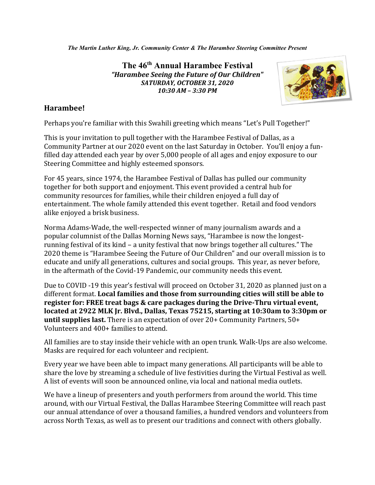*The Martin Luther King, Jr. Community Center & The Harambee Steering Committee Present*

**The 46th Annual Harambee Festival** *"Harambee Seeing the Future of Our Children" SATURDAY, OCTOBER 31, 2020 10:30 AM – 3:30 PM*



## **Harambee!**

Perhaps you're familiar with this Swahili greeting which means "Let's Pull Together!"

This is your invitation to pull together with the Harambee Festival of Dallas, as a Community Partner at our 2020 event on the last Saturday in October. You'll enjoy a funfilled day attended each year by over 5,000 people of all ages and enjoy exposure to our Steering Committee and highly esteemed sponsors.

For 45 years, since 1974, the Harambee Festival of Dallas has pulled our community together for both support and enjoyment. This event provided a central hub for community resources for families, while their children enjoyed a full day of entertainment. The whole family attended this event together. Retail and food vendors alike enjoyed a brisk business.

Norma Adams-Wade, the well-respected winner of many journalism awards and a popular columnist of the Dallas Morning News says, "Harambee is now the longestrunning festival of its kind – a unity festival that now brings together all cultures." The 2020 theme is "Harambee Seeing the Future of Our Children" and our overall mission is to educate and unify all generations, cultures and social groups. This year, as never before, in the aftermath of the Covid-19 Pandemic, our community needs this event.

Due to COVID -19 this year's festival will proceed on October 31, 2020 as planned just on a different format. **Local families and those from surrounding cities will still be able to register for: FREE treat bags & care packages during the Drive-Thru virtual event, located at 2922 MLK Jr. Blvd., Dallas, Texas 75215, starting at 10:30am to 3:30pm or until supplies last.** There is an expectation of over 20+ Community Partners, 50+ Volunteers and 400+ families to attend.

All families are to stay inside their vehicle with an open trunk. Walk-Ups are also welcome. Masks are required for each volunteer and recipient.

Every year we have been able to impact many generations. All participants will be able to share the love by streaming a schedule of live festivities during the Virtual Festival as well. A list of events will soon be announced online, via local and national media outlets.

We have a lineup of presenters and youth performers from around the world. This time around, with our Virtual Festival, the Dallas Harambee Steering Committee will reach past our annual attendance of over a thousand families, a hundred vendors and volunteers from across North Texas, as well as to present our traditions and connect with others globally.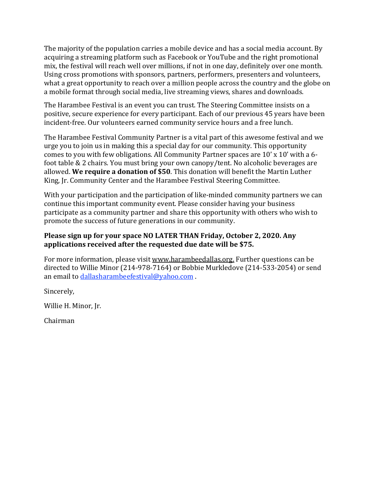The majority of the population carries a mobile device and has a social media account. By acquiring a streaming platform such as Facebook or YouTube and the right promotional mix, the festival will reach well over millions, if not in one day, definitely over one month. Using cross promotions with sponsors, partners, performers, presenters and volunteers, what a great opportunity to reach over a million people across the country and the globe on a mobile format through social media, live streaming views, shares and downloads.

The Harambee Festival is an event you can trust. The Steering Committee insists on a positive, secure experience for every participant. Each of our previous 45 years have been incident-free. Our volunteers earned community service hours and a free lunch.

The Harambee Festival Community Partner is a vital part of this awesome festival and we urge you to join us in making this a special day for our community. This opportunity comes to you with few obligations. All Community Partner spaces are 10' x 10' with a 6 foot table & 2 chairs. You must bring your own canopy/tent. No alcoholic beverages are allowed. **We require a donation of \$50**. This donation will benefit the Martin Luther King, Jr. Community Center and the Harambee Festival Steering Committee.

With your participation and the participation of like-minded community partners we can continue this important community event. Please consider having your business participate as a community partner and share this opportunity with others who wish to promote the success of future generations in our community.

## **Please sign up for your space NO LATER THAN Friday, October 2, 2020. Any applications received after the requested due date will be \$75.**

For more information, please visit [www.harambeedallas.org.](http://www.harambeedallas.org/) Further questions can be directed to Willie Minor (214-978-7164) or Bobbie Murkledove (214-533-2054) or send an email to [dallasharambeefestival@yahoo.com](mailto:dallasharambeefestival@yahoo.com) .

Sincerely,

Willie H. Minor, Jr.

Chairman